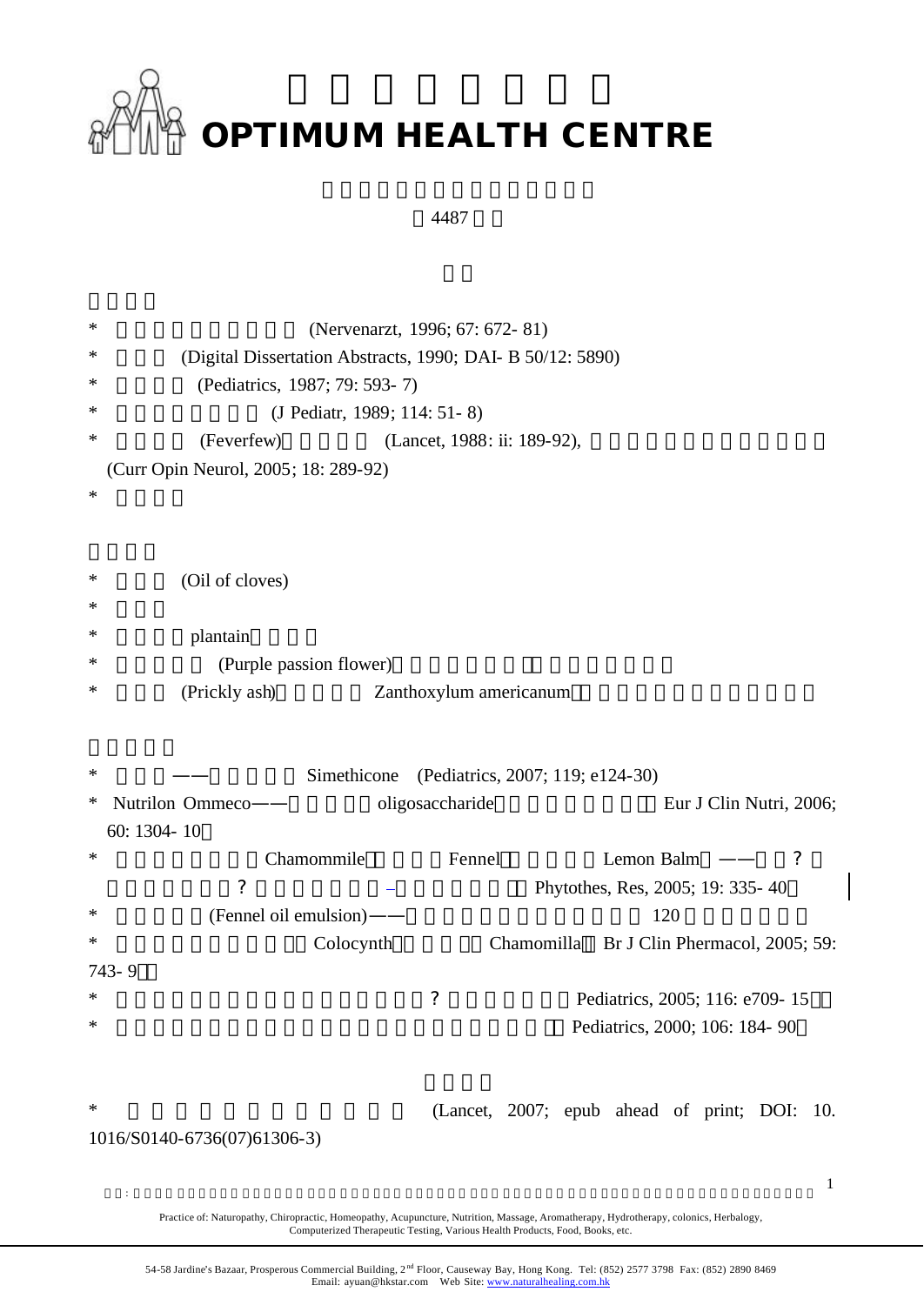

## 4487

| ∗                           | (Nervenarzt, 1996; 67: 672-81)                                 |  |  |  |  |
|-----------------------------|----------------------------------------------------------------|--|--|--|--|
| ∗                           | (Digital Dissertation Abstracts, 1990; DAI- B 50/12: 5890)     |  |  |  |  |
| *                           | (Pediatrics, 1987; 79: 593-7)                                  |  |  |  |  |
| *                           | (J Pediatr, 1989; 114: 51-8)                                   |  |  |  |  |
| *                           | (Feverfew)<br>(Lancet, 1988: ii: 189-92),                      |  |  |  |  |
|                             | (Curr Opin Neurol, 2005; 18: 289-92)                           |  |  |  |  |
| ∗                           |                                                                |  |  |  |  |
|                             |                                                                |  |  |  |  |
| ∗                           |                                                                |  |  |  |  |
| *                           | (Oil of cloves)                                                |  |  |  |  |
| ∗                           |                                                                |  |  |  |  |
| *                           | plantain                                                       |  |  |  |  |
| *                           | (Purple passion flower)                                        |  |  |  |  |
|                             | (Prickly ash)<br>Zanthoxylum americanum                        |  |  |  |  |
|                             |                                                                |  |  |  |  |
| ∗                           | Simethicone<br>(Pediatrics, 2007; 119; e124-30)                |  |  |  |  |
| ∗                           | Nutrilon Ommeco-<br>oligosaccharide<br>Eur J Clin Nutri, 2006; |  |  |  |  |
|                             | 60: 1304-10                                                    |  |  |  |  |
| ∗                           | Fennel<br>Lemon Balm -<br>Chamommile<br>$\cdot$ ?              |  |  |  |  |
|                             | $\tilde{?}$<br>Phytothes, Res, 2005; 19: 335-40                |  |  |  |  |
| ∗                           | (Fennel oil emulsion)——<br>120                                 |  |  |  |  |
| ∗                           | Br J Clin Phermacol, 2005; 59:<br>Colocynth<br>Chamomilla      |  |  |  |  |
|                             | 743-9                                                          |  |  |  |  |
| ∗                           | $\tilde{?}$<br>Pediatrics, 2005; 116: e709-15                  |  |  |  |  |
| ∗                           | Pediatrics, 2000; 106: 184-90                                  |  |  |  |  |
|                             |                                                                |  |  |  |  |
|                             |                                                                |  |  |  |  |
| $\ast$                      | (Lancet, 2007; epub ahead of print; DOI: 10.                   |  |  |  |  |
| 1016/S0140-6736(07)61306-3) |                                                                |  |  |  |  |
|                             |                                                                |  |  |  |  |
|                             | $\mathbf{1}$                                                   |  |  |  |  |

Practice of: Naturopathy, Chiropractic, Homeopathy, Acupuncture, Nutrition, Massage, Aromatherapy, Hydrotherapy, colonics, Herbalogy, Computerized Therapeutic Testing, Various Health Products, Food, Books, etc.